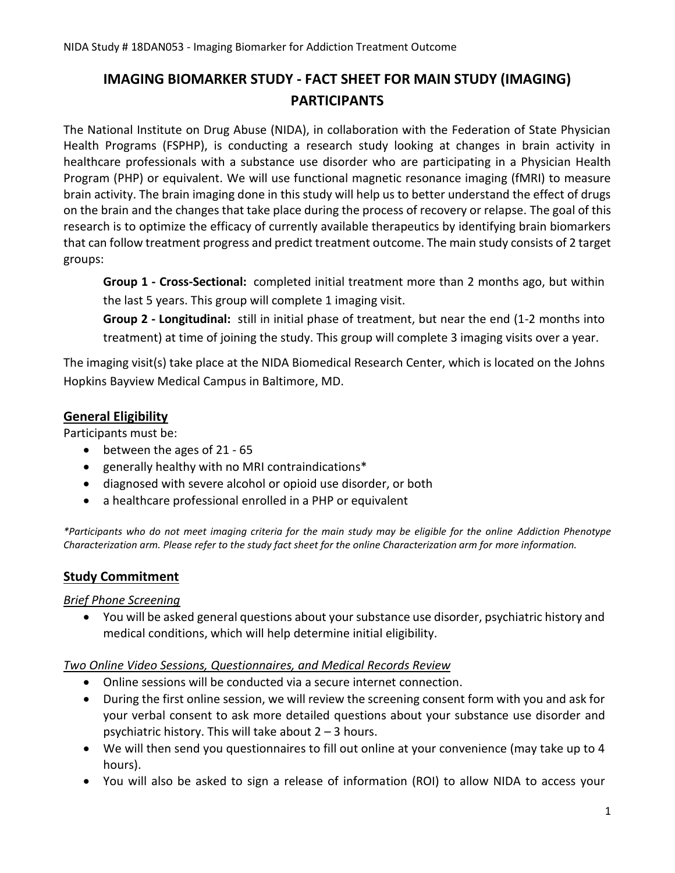# **IMAGING BIOMARKER STUDY - FACT SHEET FOR MAIN STUDY (IMAGING) PARTICIPANTS**

The National Institute on Drug Abuse (NIDA), in collaboration with the Federation of State Physician Health Programs (FSPHP), is conducting a research study looking at changes in brain activity in healthcare professionals with a substance use disorder who are participating in a Physician Health Program (PHP) or equivalent. We will use functional magnetic resonance imaging (fMRI) to measure brain activity. The brain imaging done in this study will help us to better understand the effect of drugs on the brain and the changes that take place during the process of recovery or relapse. The goal of this research is to optimize the efficacy of currently available therapeutics by identifying brain biomarkers that can follow treatment progress and predict treatment outcome. The main study consists of 2 target groups:

**Group 1 - Cross-Sectional:** completed initial treatment more than 2 months ago, but within the last 5 years. This group will complete 1 imaging visit.

**Group 2 - Longitudinal:** still in initial phase of treatment, but near the end (1-2 months into treatment) at time of joining the study. This group will complete 3 imaging visits over a year.

The imaging visit(s) take place at the NIDA Biomedical Research Center, which is located on the Johns Hopkins Bayview Medical Campus in Baltimore, MD.

### **General Eligibility**

Participants must be:

- between the ages of 21 65
- generally healthy with no MRI contraindications\*
- diagnosed with severe alcohol or opioid use disorder, or both
- a healthcare professional enrolled in a PHP or equivalent

*\*Participants who do not meet imaging criteria for the main study may be eligible for the online Addiction Phenotype Characterization arm. Please refer to the study fact sheet for the online Characterization arm for more information.*

# **Study Commitment**

#### *Brief Phone Screening*

• You will be asked general questions about your substance use disorder, psychiatric history and medical conditions, which will help determine initial eligibility.

#### *Two Online Video Sessions, Questionnaires, and Medical Records Review*

- Online sessions will be conducted via a secure internet connection.
- During the first online session, we will review the screening consent form with you and ask for your verbal consent to ask more detailed questions about your substance use disorder and psychiatric history. This will take about  $2 - 3$  hours.
- We will then send you questionnaires to fill out online at your convenience (may take up to 4 hours).
- You will also be asked to sign a release of information (ROI) to allow NIDA to access your